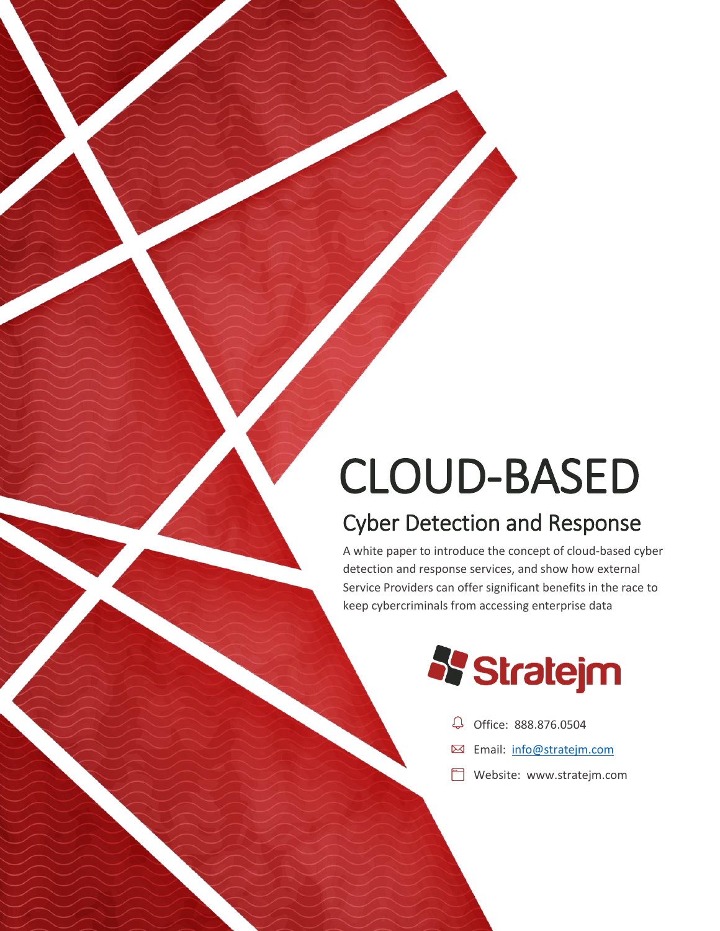# CLOUD-BASED

## Cyber Detection and Response

A white paper to introduce the concept of cloud-based cyber detection and response services, and show how external Service Providers can offer significant benefits in the race to keep cybercriminals from accessing enterprise data



- Office: 888.876.0504
- **Email:** [info@stratejm.com](mailto:info@stratejm.com)
- **Website: [www.stratejm.com](http://www.stratejm.com/)**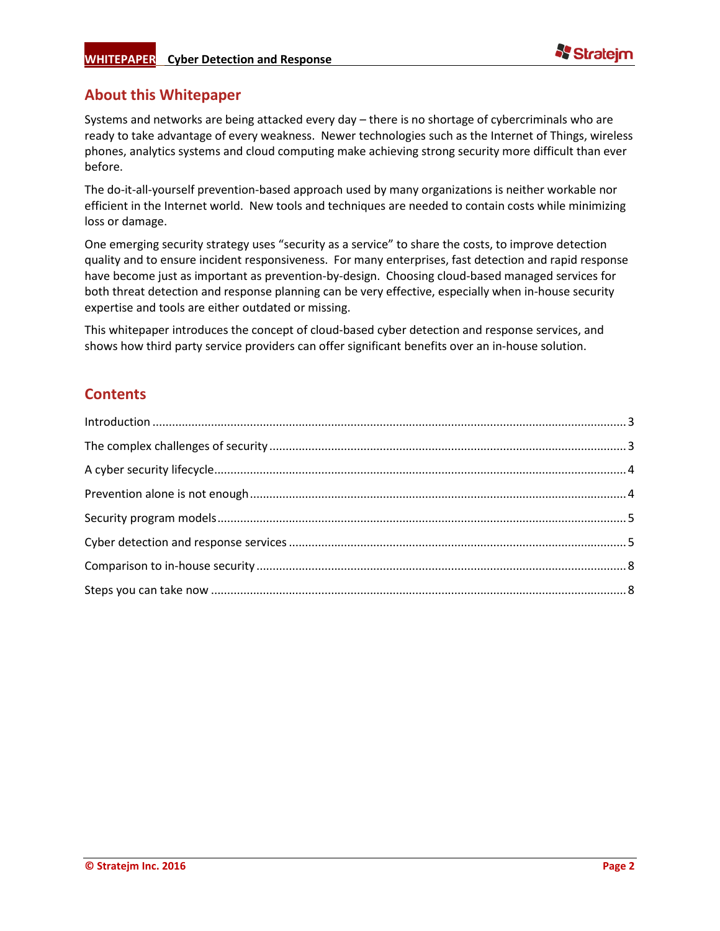

## **About this Whitepaper**

Systems and networks are being attacked every day – there is no shortage of cybercriminals who are ready to take advantage of every weakness. Newer technologies such as the Internet of Things, wireless phones, analytics systems and cloud computing make achieving strong security more difficult than ever before.

The do-it-all-yourself prevention-based approach used by many organizations is neither workable nor efficient in the Internet world. New tools and techniques are needed to contain costs while minimizing loss or damage.

One emerging security strategy uses "security as a service" to share the costs, to improve detection quality and to ensure incident responsiveness. For many enterprises, fast detection and rapid response have become just as important as prevention-by-design. Choosing cloud-based managed services for both threat detection and response planning can be very effective, especially when in-house security expertise and tools are either outdated or missing.

This whitepaper introduces the concept of cloud-based cyber detection and response services, and shows how third party service providers can offer significant benefits over an in-house solution.

## **Contents**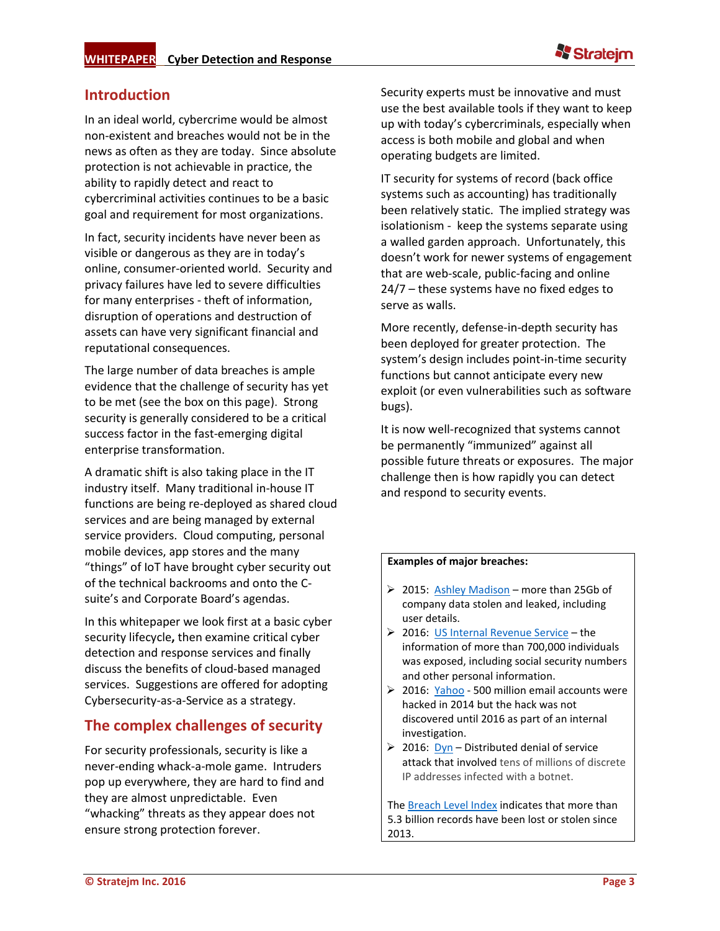## <span id="page-2-0"></span>**Introduction**

In an ideal world, cybercrime would be almost non-existent and breaches would not be in the news as often as they are today. Since absolute protection is not achievable in practice, the ability to rapidly detect and react to cybercriminal activities continues to be a basic goal and requirement for most organizations.

In fact, security incidents have never been as visible or dangerous as they are in today's online, consumer-oriented world. Security and privacy failures have led to severe difficulties for many enterprises - theft of information, disruption of operations and destruction of assets can have very significant financial and reputational consequences.

The large number of data breaches is ample evidence that the challenge of security has yet to be met (see the box on this page).Strong security is generally considered to be a critical success factor in the fast-emerging digital enterprise transformation.

A dramatic shift is also taking place in the IT industry itself. Many traditional in-house IT functions are being re-deployed as shared cloud services and are being managed by external service providers. Cloud computing, personal mobile devices, app stores and the many "things" of IoT have brought cyber security out of the technical backrooms and onto the Csuite's and Corporate Board's agendas.

In this whitepaper we look first at a basic cyber security lifecycle**,** then examine critical cyber detection and response services and finally discuss the benefits of cloud-based managed services. Suggestions are offered for adopting Cybersecurity-as-a-Service as a strategy.

## <span id="page-2-1"></span>**The complex challenges of security**

For security professionals, security is like a never-ending whack-a-mole game. Intruders pop up everywhere, they are hard to find and they are almost unpredictable. Even "whacking" threats as they appear does not ensure strong protection forever.

Security experts must be innovative and must use the best available tools if they want to keep up with today's cybercriminals, especially when access is both mobile and global and when operating budgets are limited.

IT security for systems of record (back office systems such as accounting) has traditionally been relatively static. The implied strategy was isolationism - keep the systems separate using a walled garden approach. Unfortunately, this doesn't work for newer systems of engagement that are web-scale, public-facing and online 24/7 – these systems have no fixed edges to serve as walls.

More recently, defense-in-depth security has been deployed for greater protection. The system's design includes point-in-time security functions but cannot anticipate every new exploit (or even vulnerabilities such as software bugs).

It is now well-recognized that systems cannot be permanently "immunized" against all possible future threats or exposures. The major challenge then is how rapidly you can detect and respond to security events.

#### **Examples of major breaches:**

- $\geq 2015$ : [Ashley Madison](https://en.wikipedia.org/wiki/Ashley_Madison_data_breach) more than 25Gb of company data stolen and leaked, including user details.
- 2016: [US Internal Revenue Service](http://www.crn.com/slide-shows/security/300081491/the-10-biggest-data-breaches-of-2016-so-far.htm/pgno/0/5) the information of more than 700,000 individuals was exposed, including social security numbers and other personal information.
- ▶ 2016: [Yahoo](http://www.cbc.ca/news/business/yahoo-email-hack-1.3774483) 500 million email accounts were hacked in 2014 but the hack was not discovered until 2016 as part of an internal investigation.
- $\geq$  2016: [Dyn](http://dyn.com/blog/dyn-statement-on-10212016-ddos-attack/) Distributed denial of service attack that involved tens of millions of discrete IP addresses infected with a botnet.

The [Breach Level Index](http://breachlevelindex.com/) indicates that more than 5.3 billion records have been lost or stolen since 2013.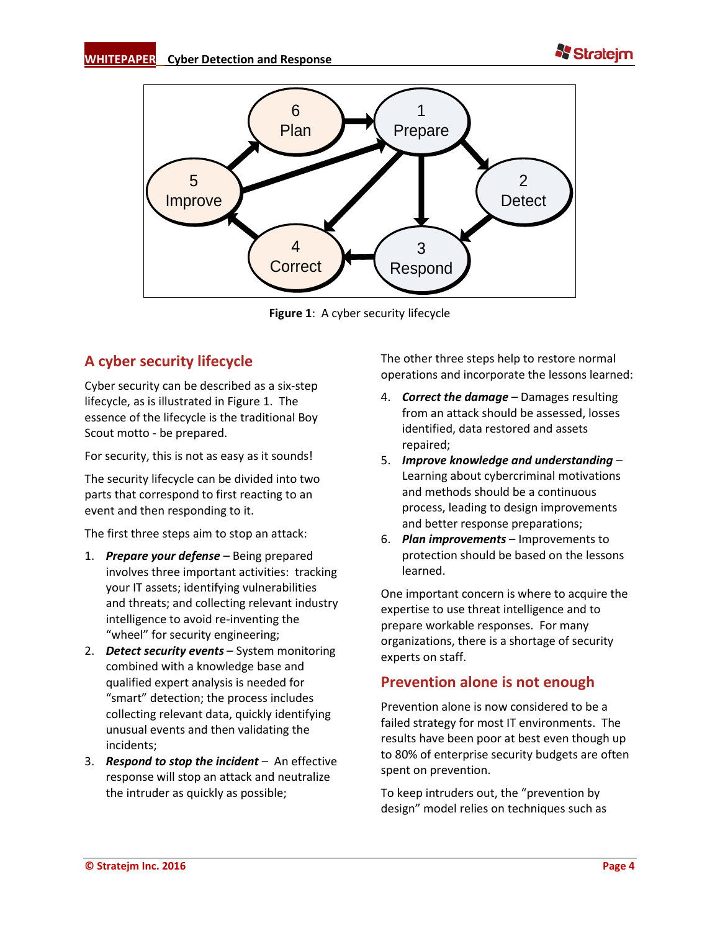



**Figure 1**: A cyber security lifecycle

## <span id="page-3-0"></span>**A cyber security lifecycle**

Cyber security can be described as a six-step lifecycle, as is illustrated in Figure 1. The essence of the lifecycle is the traditional Boy Scout motto - be prepared.

For security, this is not as easy as it sounds!

The security lifecycle can be divided into two parts that correspond to first reacting to an event and then responding to it.

The first three steps aim to stop an attack:

- 1. *Prepare your defense* Being prepared involves three important activities: tracking your IT assets; identifying vulnerabilities and threats; and collecting relevant industry intelligence to avoid re-inventing the "wheel" for security engineering;
- 2. *Detect security events* System monitoring combined with a knowledge base and qualified expert analysis is needed for "smart" detection; the process includes collecting relevant data, quickly identifying unusual events and then validating the incidents;
- 3. *Respond to stop the incident* An effective response will stop an attack and neutralize the intruder as quickly as possible;

The other three steps help to restore normal operations and incorporate the lessons learned:

- 4. *Correct the damage* Damages resulting from an attack should be assessed, losses identified, data restored and assets repaired;
- 5. *Improve knowledge and understanding* Learning about cybercriminal motivations and methods should be a continuous process, leading to design improvements and better response preparations;
- 6. *Plan improvements* Improvements to protection should be based on the lessons learned.

One important concern is where to acquire the expertise to use threat intelligence and to prepare workable responses. For many organizations, there is a shortage of security experts on staff.

## <span id="page-3-1"></span>**Prevention alone is not enough**

Prevention alone is now considered to be a failed strategy for most IT environments. The results have been poor at best even though up to 80% of enterprise security budgets are often spent on prevention.

To keep intruders out, the "prevention by design" model relies on techniques such as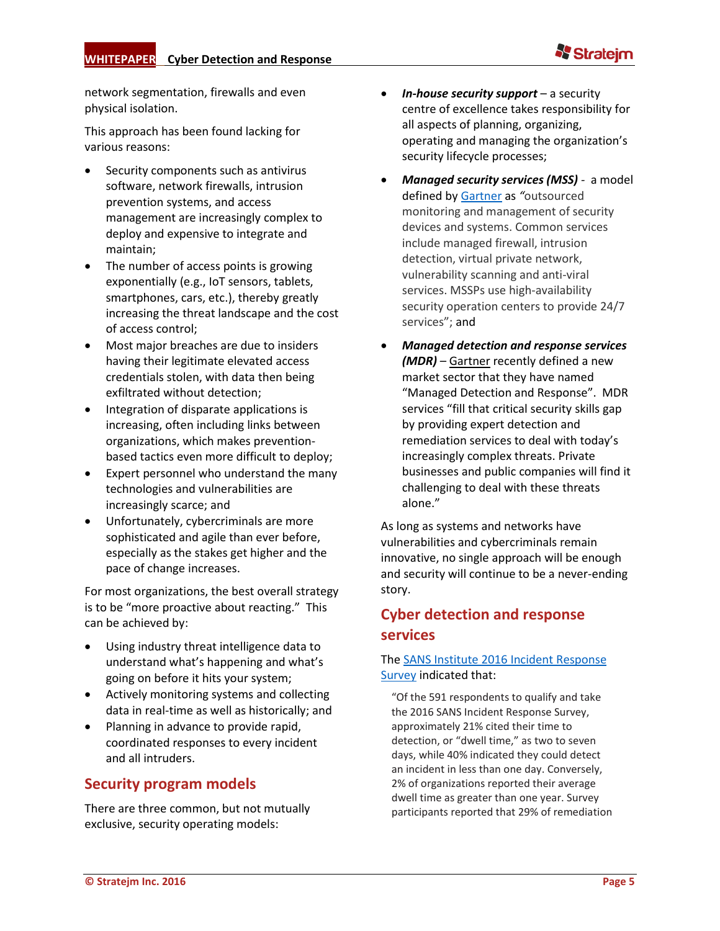

network segmentation, firewalls and even physical isolation.

This approach has been found lacking for various reasons:

- Security components such as antivirus software, network firewalls, intrusion prevention systems, and access management are increasingly complex to deploy and expensive to integrate and maintain;
- The number of access points is growing exponentially (e.g., IoT sensors, tablets, smartphones, cars, etc.), thereby greatly increasing the threat landscape and the cost of access control;
- Most major breaches are due to insiders having their legitimate elevated access credentials stolen, with data then being exfiltrated without detection;
- Integration of disparate applications is increasing, often including links between organizations, which makes preventionbased tactics even more difficult to deploy;
- Expert personnel who understand the many technologies and vulnerabilities are increasingly scarce; and
- Unfortunately, cybercriminals are more sophisticated and agile than ever before, especially as the stakes get higher and the pace of change increases.

For most organizations, the best overall strategy is to be "more proactive about reacting." This can be achieved by:

- Using industry threat intelligence data to understand what's happening and what's going on before it hits your system;
- Actively monitoring systems and collecting data in real-time as well as historically; and
- Planning in advance to provide rapid, coordinated responses to every incident and all intruders.

## <span id="page-4-0"></span>**Security program models**

There are three common, but not mutually exclusive, security operating models:

- *In-house security support* a security centre of excellence takes responsibility for all aspects of planning, organizing, operating and managing the organization's security lifecycle processes;
- *Managed security services (MSS) -* a model defined by [Gartner](http://www.gartner.com/it-glossary/mssp-managed-security-service-provider/) as *"*outsourced monitoring and management of security devices and systems. Common services include managed firewall, intrusion detection, virtual private network, vulnerability scanning and anti-viral services. MSSPs use high-availability security operation centers to provide 24/7 services"; and
- *Managed detection and response services (MDR)* – [Gartner](https://www.gartner.com/doc/3314023/market-guide-managed-detection-response) recently defined a new market sector that they have named "Managed Detection and Response". MDR services "fill that critical security skills gap by providing expert detection and remediation services to deal with today's increasingly complex threats. Private businesses and public companies will find it challenging to deal with these threats alone."

As long as systems and networks have vulnerabilities and cybercriminals remain innovative, no single approach will be enough and security will continue to be a never-ending story.

## <span id="page-4-1"></span>**Cyber detection and response services**

#### The [SANS Institute 2016 Incident Response](https://www.sans.org/reading-room/whitepapers/incident/incident-response-capabilities-2016-2016-incident-response-survey-37047)  [Survey](https://www.sans.org/reading-room/whitepapers/incident/incident-response-capabilities-2016-2016-incident-response-survey-37047) indicated that:

"Of the 591 respondents to qualify and take the 2016 SANS Incident Response Survey, approximately 21% cited their time to detection, or "dwell time," as two to seven days, while 40% indicated they could detect an incident in less than one day. Conversely, 2% of organizations reported their average dwell time as greater than one year. Survey participants reported that 29% of remediation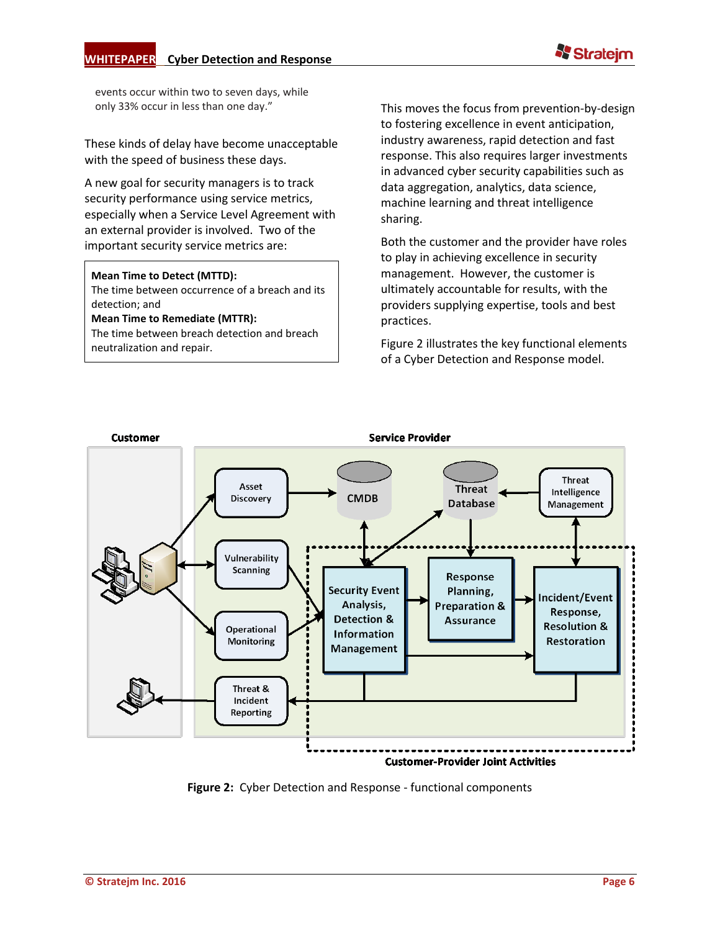events occur within two to seven days, while only 33% occur in less than one day."

These kinds of delay have become unacceptable with the speed of business these days.

A new goal for security managers is to track security performance using service metrics, especially when a Service Level Agreement with an external provider is involved. Two of the important security service metrics are:

#### **Mean Time to Detect (MTTD):**

The time between occurrence of a breach and its detection; and

#### **Mean Time to Remediate (MTTR):**

The time between breach detection and breach neutralization and repair.

This moves the focus from prevention-by-design to fostering excellence in event anticipation, industry awareness, rapid detection and fast response. This also requires larger investments in advanced cyber security capabilities such as data aggregation, analytics, data science, machine learning and threat intelligence sharing.

Both the customer and the provider have roles to play in achieving excellence in security management. However, the customer is ultimately accountable for results, with the providers supplying expertise, tools and best practices.

Figure 2 illustrates the key functional elements of a Cyber Detection and Response model.



**Figure 2:** Cyber Detection and Response - functional components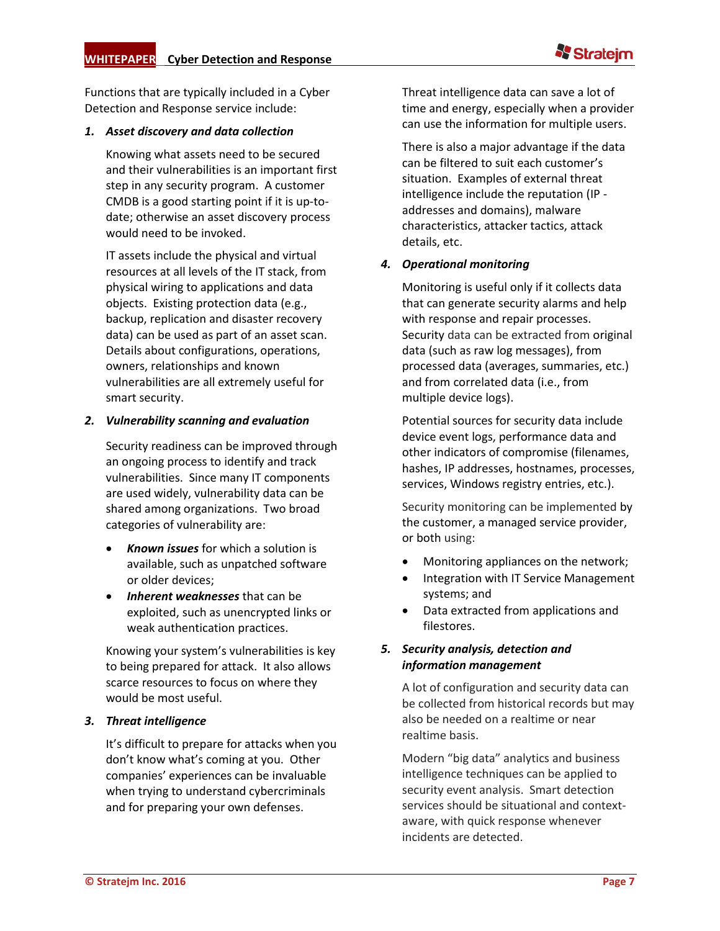

Functions that are typically included in a Cyber Detection and Response service include:

#### *1. Asset discovery and data collection*

Knowing what assets need to be secured and their vulnerabilities is an important first step in any security program. A customer CMDB is a good starting point if it is up-todate; otherwise an asset discovery process would need to be invoked.

IT assets include the physical and virtual resources at all levels of the IT stack, from physical wiring to applications and data objects. Existing protection data (e.g., backup, replication and disaster recovery data) can be used as part of an asset scan. Details about configurations, operations, owners, relationships and known vulnerabilities are all extremely useful for smart security.

#### *2. Vulnerability scanning and evaluation*

Security readiness can be improved through an ongoing process to identify and track vulnerabilities. Since many IT components are used widely, vulnerability data can be shared among organizations. Two broad categories of vulnerability are:

- *Known issues* for which a solution is available, such as unpatched software or older devices;
- *Inherent weaknesses* that can be exploited, such as unencrypted links or weak authentication practices.

Knowing your system's vulnerabilities is key to being prepared for attack. It also allows scarce resources to focus on where they would be most useful.

#### *3. Threat intelligence*

It's difficult to prepare for attacks when you don't know what's coming at you. Other companies' experiences can be invaluable when trying to understand cybercriminals and for preparing your own defenses.

Threat intelligence data can save a lot of time and energy, especially when a provider can use the information for multiple users.

There is also a major advantage if the data can be filtered to suit each customer's situation. Examples of external threat intelligence include the reputation (IP addresses and domains), malware characteristics, attacker tactics, attack details, etc.

#### *4. Operational monitoring*

Monitoring is useful only if it collects data that can generate security alarms and help with response and repair processes. Security data can be extracted from original data (such as raw log messages), from processed data (averages, summaries, etc.) and from correlated data (i.e., from multiple device logs).

Potential sources for security data include device event logs, performance data and other indicators of compromise (filenames, hashes, IP addresses, hostnames, processes, services, Windows registry entries, etc.).

Security monitoring can be implemented by the customer, a managed service provider, or both using:

- Monitoring appliances on the network;
- Integration with IT Service Management systems; and
- Data extracted from applications and filestores.

#### *5. Security analysis, detection and information management*

A lot of configuration and security data can be collected from historical records but may also be needed on a realtime or near realtime basis.

Modern "big data" analytics and business intelligence techniques can be applied to security event analysis. Smart detection services should be situational and contextaware, with quick response whenever incidents are detected.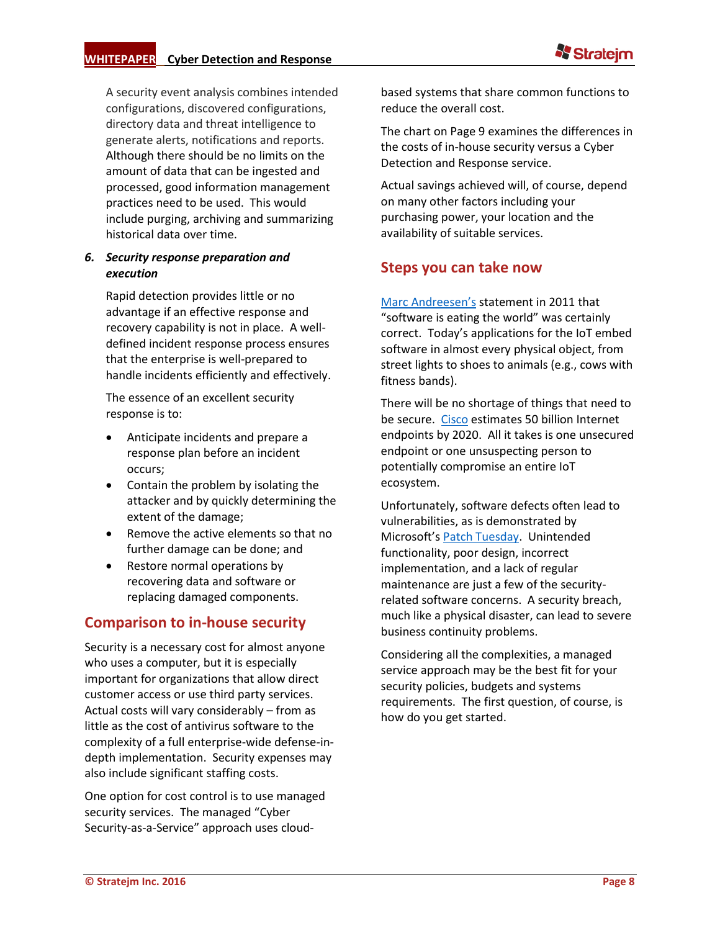

A security event analysis combines intended configurations, discovered configurations, directory data and threat intelligence to generate alerts, notifications and reports. Although there should be no limits on the amount of data that can be ingested and processed, good information management practices need to be used. This would include purging, archiving and summarizing historical data over time.

#### *6. Security response preparation and execution*

Rapid detection provides little or no advantage if an effective response and recovery capability is not in place. A welldefined incident response process ensures that the enterprise is well-prepared to handle incidents efficiently and effectively.

The essence of an excellent security response is to:

- Anticipate incidents and prepare a response plan before an incident occurs;
- Contain the problem by isolating the attacker and by quickly determining the extent of the damage;
- Remove the active elements so that no further damage can be done; and
- Restore normal operations by recovering data and software or replacing damaged components.

## <span id="page-7-0"></span>**Comparison to in-house security**

Security is a necessary cost for almost anyone who uses a computer, but it is especially important for organizations that allow direct customer access or use third party services. Actual costs will vary considerably – from as little as the cost of antivirus software to the complexity of a full enterprise-wide defense-indepth implementation. Security expenses may also include significant staffing costs.

One option for cost control is to use managed security services. The managed "Cyber Security-as-a-Service" approach uses cloudbased systems that share common functions to reduce the overall cost.

The chart on Page 9 examines the differences in the costs of in-house security versus a Cyber Detection and Response service.

Actual savings achieved will, of course, depend on many other factors including your purchasing power, your location and the availability of suitable services.

### <span id="page-7-1"></span>**Steps you can take now**

[Marc Andreesen](http://www.wsj.com/articles/SB10001424053111903480904576512250915629460)'s statement in 2011 that "software is eating the world" was certainly correct. Today's applications for the IoT embed software in almost every physical object, from street lights to shoes to animals (e.g., cows with fitness bands).

There will be no shortage of things that need to be secure. [Cisco](http://www.cisco.com/web/CA/solutions/trends/iot/portfolio.html) estimates 50 billion Internet endpoints by 2020. All it takes is one unsecured endpoint or one unsuspecting person to potentially compromise an entire IoT ecosystem.

Unfortunately, software defects often lead to vulnerabilities, as is demonstrated by Microsoft's [Patch Tuesday.](https://en.wikipedia.org/wiki/Patch_Tuesday) Unintended functionality, poor design, incorrect implementation, and a lack of regular maintenance are just a few of the securityrelated software concerns. A security breach, much like a physical disaster, can lead to severe business continuity problems.

Considering all the complexities, a managed service approach may be the best fit for your security policies, budgets and systems requirements. The first question, of course, is how do you get started.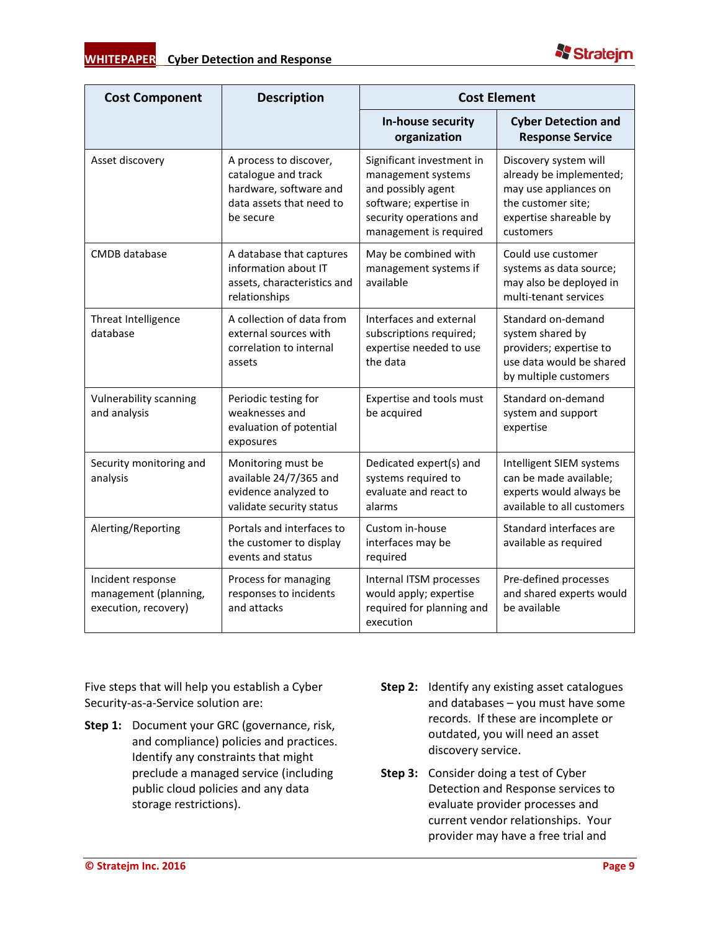



| <b>Cost Component</b>                                              | <b>Description</b>                                                                                               | <b>Cost Element</b>                                                                                                                                  |                                                                                                                                        |
|--------------------------------------------------------------------|------------------------------------------------------------------------------------------------------------------|------------------------------------------------------------------------------------------------------------------------------------------------------|----------------------------------------------------------------------------------------------------------------------------------------|
|                                                                    |                                                                                                                  | In-house security<br>organization                                                                                                                    | <b>Cyber Detection and</b><br><b>Response Service</b>                                                                                  |
| Asset discovery                                                    | A process to discover,<br>catalogue and track<br>hardware, software and<br>data assets that need to<br>be secure | Significant investment in<br>management systems<br>and possibly agent<br>software; expertise in<br>security operations and<br>management is required | Discovery system will<br>already be implemented;<br>may use appliances on<br>the customer site;<br>expertise shareable by<br>customers |
| CMDB database                                                      | A database that captures<br>information about IT<br>assets, characteristics and<br>relationships                 | May be combined with<br>management systems if<br>available                                                                                           | Could use customer<br>systems as data source;<br>may also be deployed in<br>multi-tenant services                                      |
| Threat Intelligence<br>database                                    | A collection of data from<br>external sources with<br>correlation to internal<br>assets                          | Interfaces and external<br>subscriptions required;<br>expertise needed to use<br>the data                                                            | Standard on-demand<br>system shared by<br>providers; expertise to<br>use data would be shared<br>by multiple customers                 |
| Vulnerability scanning<br>and analysis                             | Periodic testing for<br>weaknesses and<br>evaluation of potential<br>exposures                                   | Expertise and tools must<br>be acquired                                                                                                              | Standard on-demand<br>system and support<br>expertise                                                                                  |
| Security monitoring and<br>analysis                                | Monitoring must be<br>available 24/7/365 and<br>evidence analyzed to<br>validate security status                 | Dedicated expert(s) and<br>systems required to<br>evaluate and react to<br>alarms                                                                    | Intelligent SIEM systems<br>can be made available;<br>experts would always be<br>available to all customers                            |
| Alerting/Reporting                                                 | Portals and interfaces to<br>the customer to display<br>events and status                                        | Custom in-house<br>interfaces may be<br>required                                                                                                     | Standard interfaces are<br>available as required                                                                                       |
| Incident response<br>management (planning,<br>execution, recovery) | Process for managing<br>responses to incidents<br>and attacks                                                    | Internal ITSM processes<br>would apply; expertise<br>required for planning and<br>execution                                                          | Pre-defined processes<br>and shared experts would<br>be available                                                                      |

Five steps that will help you establish a Cyber Security-as-a-Service solution are:

- **Step 1:** Document your GRC (governance, risk, and compliance) policies and practices. Identify any constraints that might preclude a managed service (including public cloud policies and any data storage restrictions).
- **Step 2:** Identify any existing asset catalogues and databases – you must have some records. If these are incomplete or outdated, you will need an asset discovery service.
- **Step 3:** Consider doing a test of Cyber Detection and Response services to evaluate provider processes and current vendor relationships. Your provider may have a free trial and